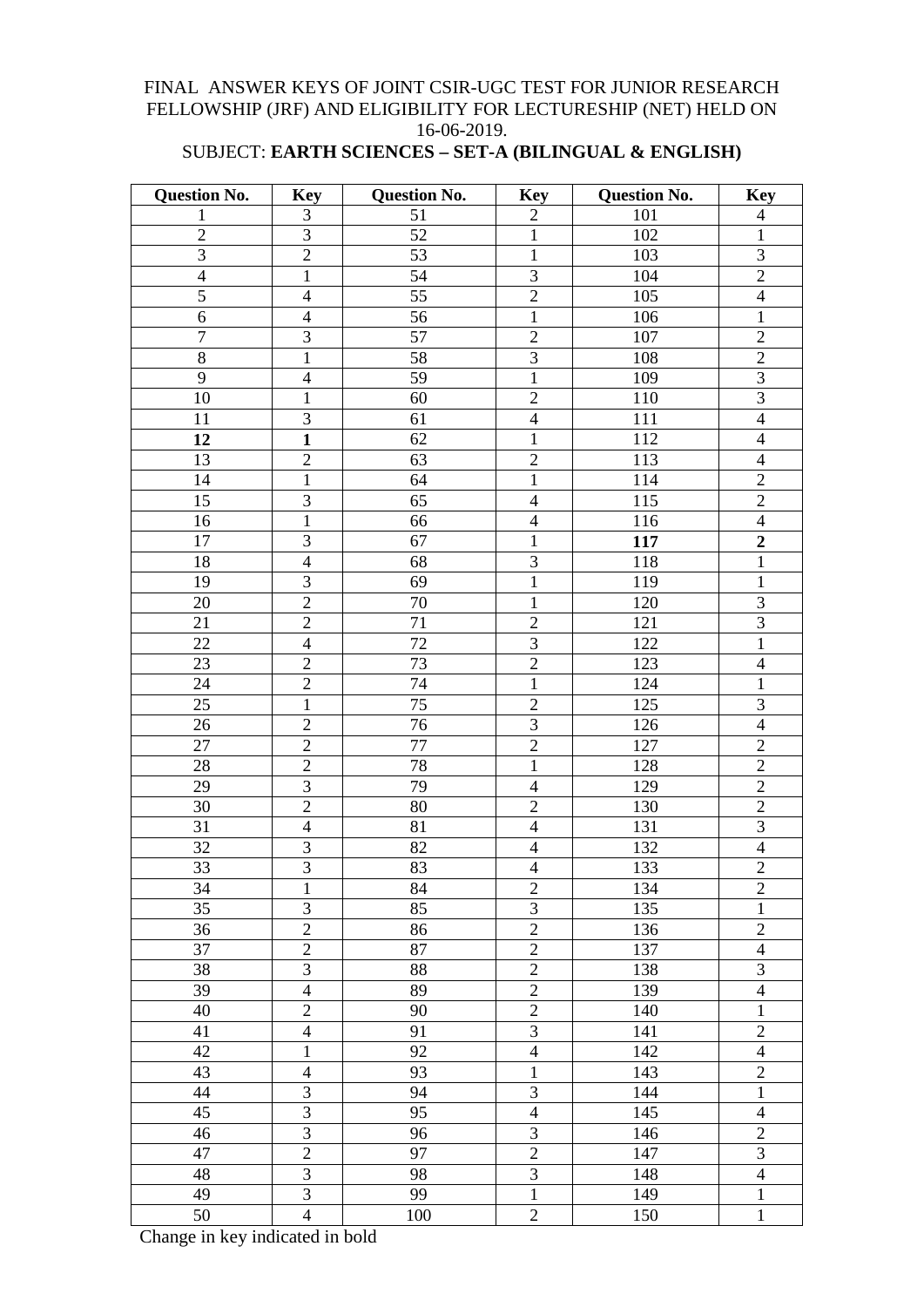#### FINAL ANSWER KEYS OF JOINT CSIR-UGC TEST FOR JUNIOR RESEARCH FELLOWSHIP (JRF) AND ELIGIBILITY FOR LECTURESHIP (NET) HELD ON 16-06-2019.

## SUBJECT: **EARTH SCIENCES – SET-A (BILINGUAL & ENGLISH)**

| <b>Question No.</b> | <b>Key</b>     | <b>Question No.</b> | <b>Key</b>              | <b>Question No.</b> | <b>Key</b>              |
|---------------------|----------------|---------------------|-------------------------|---------------------|-------------------------|
|                     | 3              | 51                  | $\overline{c}$          | 101                 | $\overline{4}$          |
| $\overline{2}$      | $\overline{3}$ | $\overline{52}$     | $\mathbf{1}$            | 102                 | $\mathbf{1}$            |
| 3                   | $\overline{2}$ | 53                  | $\mathbf{1}$            | 103                 | $\mathfrak{Z}$          |
| $\overline{4}$      | $\overline{1}$ | $\overline{54}$     | $\overline{3}$          | 104                 | $\overline{2}$          |
| 5                   | $\overline{4}$ | 55                  | $\sqrt{2}$              | 105                 | $\overline{4}$          |
| $\overline{6}$      | $\overline{4}$ | 56                  | $\mathbf{1}$            | 106                 | $\mathbf{1}$            |
| $\boldsymbol{7}$    | 3              | 57                  | $\overline{2}$          | 107                 | $\sqrt{2}$              |
| $\overline{8}$      | $\mathbf{1}$   | 58                  | $\overline{3}$          | 108                 | $\overline{2}$          |
| $\overline{9}$      | $\overline{4}$ | $\overline{59}$     | $\overline{1}$          | 109                 | $\overline{3}$          |
| 10                  | $\mathbf{1}$   | 60                  | $\overline{2}$          | 110                 | $\overline{\mathbf{3}}$ |
| 11                  | $\mathfrak{Z}$ | 61                  | $\overline{\mathbf{4}}$ | 111                 | $\overline{4}$          |
| 12                  | $\mathbf{1}$   | 62                  | $\mathbf{1}$            | 112                 | $\overline{4}$          |
| 13                  | $\overline{2}$ | 63                  | $\sqrt{2}$              | 113                 | $\overline{4}$          |
| 14                  | $\mathbf{1}$   | 64                  | $\mathbf{1}$            | 114                 | $\sqrt{2}$              |
| $\overline{15}$     | $\overline{3}$ | 65                  | $\overline{4}$          | 115                 | $\sqrt{2}$              |
| 16                  | $\mathbf{1}$   | 66                  | $\overline{4}$          | 116                 | $\overline{4}$          |
| 17                  | $\overline{3}$ | 67                  | $\mathbf{1}$            | 117                 | $\boldsymbol{2}$        |
| 18                  | $\overline{4}$ | 68                  | 3                       | 118                 | $\mathbf{1}$            |
| 19                  | 3              | 69                  | $\mathbf{1}$            | 119                 | $\mathbf{1}$            |
| 20                  | $\overline{2}$ | 70                  | $\mathbf{1}$            | 120                 | $\mathfrak{Z}$          |
| 21                  | $\overline{2}$ | 71                  | $\overline{2}$          | 121                 | $\mathfrak{Z}$          |
| 22                  | $\overline{4}$ | 72                  | 3                       | 122                 | $\mathbf{1}$            |
| 23                  | $\overline{2}$ | 73                  | $\overline{2}$          | 123                 | $\overline{4}$          |
| 24                  | $\overline{2}$ | $\overline{74}$     | $\mathbf{1}$            | 124                 | $\mathbf{1}$            |
| 25                  | $\mathbf{1}$   | 75                  | $\sqrt{2}$              | 125                 | $\mathfrak{Z}$          |
| 26                  | $\overline{2}$ | 76                  | $\overline{3}$          | 126                 | $\overline{4}$          |
| 27                  | $\overline{2}$ | 77                  | $\overline{2}$          | 127                 | $\overline{2}$          |
| 28                  | $\overline{2}$ | 78                  | $\overline{1}$          | 128                 | $\overline{2}$          |
| 29                  | $\mathfrak{Z}$ | 79                  | $\overline{4}$          | 129                 | $\sqrt{2}$              |
| 30                  | $\overline{2}$ | 80                  | $\overline{c}$          | 130                 | $\overline{2}$          |
| 31                  | $\overline{4}$ | 81                  | $\overline{4}$          | 131                 | $\mathfrak{Z}$          |
| 32                  | $\mathfrak{Z}$ | 82                  | $\overline{4}$          | 132                 | $\overline{4}$          |
| 33                  | 3              | 83                  | $\overline{4}$          | 133                 | $\overline{2}$          |
| 34                  | $\mathbf{1}$   | 84                  | $\mathfrak{2}$          | 134                 | $\overline{c}$          |
| 35                  | $\overline{3}$ | 85                  | $\overline{3}$          | 135                 | $\mathbf{1}$            |
| 36                  | $\overline{2}$ | 86                  | $\overline{2}$          | 136                 | $\overline{2}$          |
| 37                  | $\overline{2}$ | 87                  | $\overline{2}$          | 137                 | $\overline{4}$          |
| 38                  | 3              | 88                  | $\overline{2}$          | 138                 | 3                       |
| 39                  | $\overline{4}$ | 89                  | $\overline{2}$          | 139                 | $\overline{4}$          |
| 40                  | $\overline{2}$ | 90                  | $\overline{2}$          | 140                 | $\mathbf{1}$            |
| 41                  | $\overline{4}$ | 91                  | $\overline{3}$          | 141                 | $\overline{2}$          |
| 42                  | $\mathbf{1}$   | 92                  | $\overline{\mathbf{4}}$ | 142                 | $\overline{4}$          |
| 43                  | $\overline{4}$ | 93                  | $\mathbf{1}$            | 143                 | $\sqrt{2}$              |
| 44                  | 3              | 94                  | 3                       | 144                 | $\mathbf{1}$            |
| $\overline{45}$     | $\overline{3}$ | 95                  | $\overline{4}$          | 145                 | $\overline{4}$          |
| 46                  | 3              | 96                  | 3                       | 146                 | $\sqrt{2}$              |
| 47                  | $\overline{2}$ | 97                  | $\overline{2}$          | 147                 | 3                       |
| 48                  | 3              | 98                  | 3                       | 148                 | $\overline{4}$          |
| 49                  | 3              | 99                  | $\mathbf{1}$            | 149                 | $\mathbf{1}$            |
| 50                  | $\overline{4}$ | 100                 | $\overline{c}$          | 150                 | $\mathbf{1}$            |

Change in key indicated in bold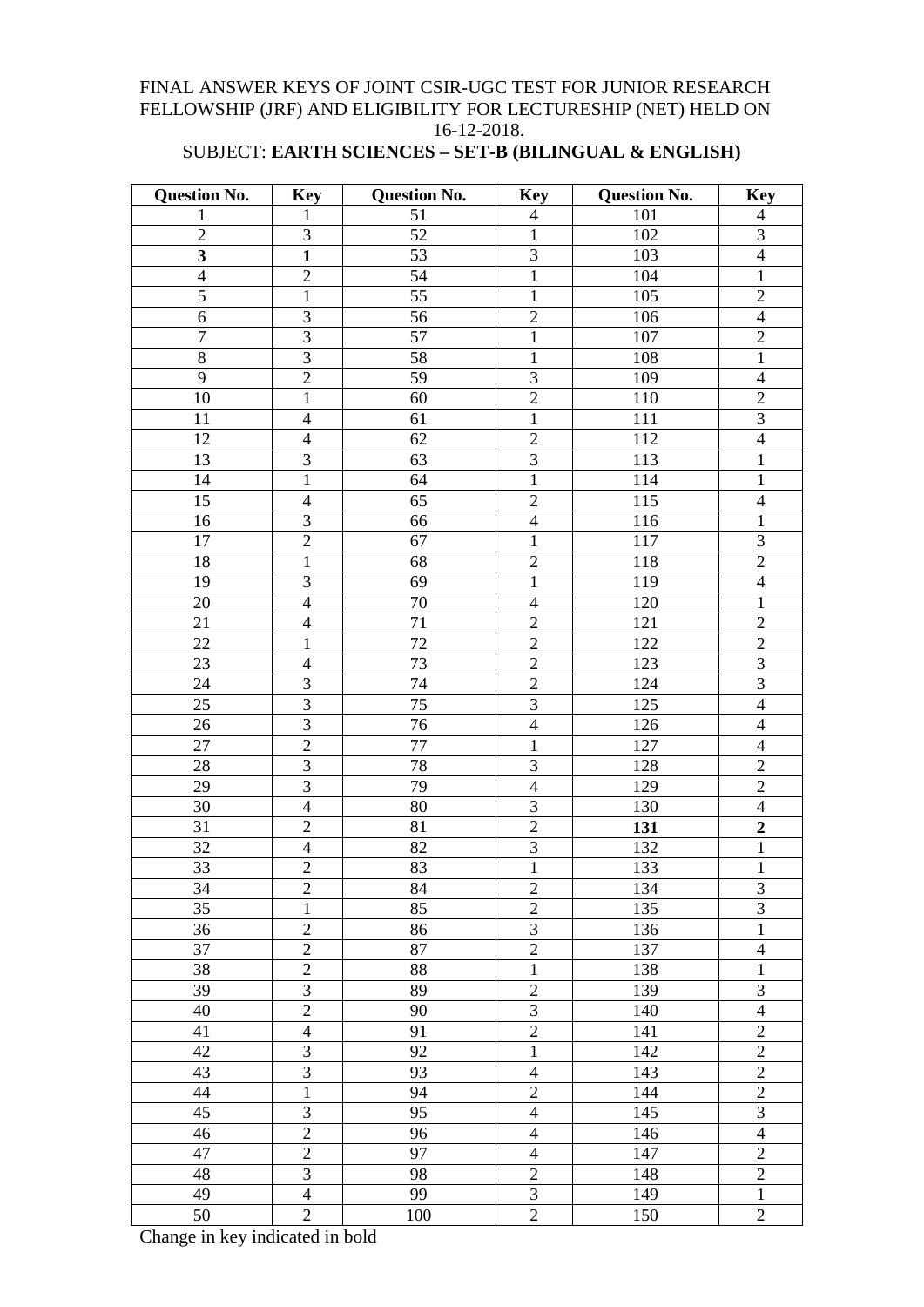#### FINAL ANSWER KEYS OF JOINT CSIR-UGC TEST FOR JUNIOR RESEARCH FELLOWSHIP (JRF) AND ELIGIBILITY FOR LECTURESHIP (NET) HELD ON 16-12-2018.

## SUBJECT: **EARTH SCIENCES – SET-B (BILINGUAL & ENGLISH)**

| <b>Question No.</b> | <b>Key</b>               | <b>Question No.</b> | <b>Key</b>              | <b>Question No.</b> | <b>Key</b>              |
|---------------------|--------------------------|---------------------|-------------------------|---------------------|-------------------------|
| 1                   | $\mathbf{1}$             | 51                  | $\overline{4}$          | 101                 | $\overline{4}$          |
| $\overline{2}$      | 3                        | 52                  | $\mathbf{1}$            | 102                 | 3                       |
| $\mathbf{3}$        | $\overline{\mathbf{1}}$  | $\overline{53}$     | 3                       | 103                 | $\overline{4}$          |
| $\overline{4}$      | $\sqrt{2}$               | 54                  | $\mathbf 1$             | 104                 | $\mathbf{1}$            |
| $\overline{5}$      | $\mathbf{1}$             | 55                  | $\mathbf{1}$            | 105                 | $\sqrt{2}$              |
| 6                   | $\mathfrak{Z}$           | 56                  | $\overline{c}$          | 106                 | $\overline{4}$          |
| $\overline{7}$      | 3                        | 57                  | $\mathbf{1}$            | 107                 | $\overline{2}$          |
| $8\,$               | $\mathfrak{Z}$           | 58                  | $\mathbf{1}$            | 108                 | $\mathbf{1}$            |
| $\mathbf{9}$        | $\overline{2}$           | 59                  | 3                       | 109                 | $\overline{4}$          |
| 10                  | $\mathbf{1}$             | 60                  | $\overline{c}$          | 110                 | $\sqrt{2}$              |
| 11                  | $\overline{4}$           | 61                  | $\mathbf{1}$            | 111                 | 3                       |
| 12                  | $\overline{4}$           | 62                  | $\overline{2}$          | 112                 | $\overline{4}$          |
| 13                  | $\mathfrak{Z}$           | 63                  | $\mathfrak{Z}$          | 113                 | $\mathbf{1}$            |
| 14                  | $\mathbf{1}$             | 64                  | $\overline{1}$          | 114                 | $\mathbf{1}$            |
| 15                  | $\overline{4}$           | 65                  | $\sqrt{2}$              | 115                 | $\overline{4}$          |
| 16                  | $\overline{3}$           | 66                  | $\overline{\mathbf{4}}$ | 116                 | $\mathbf{1}$            |
| 17                  | $\overline{2}$           | 67                  | $\mathbf{1}$            | 117                 | $\mathfrak{Z}$          |
| 18                  | $\mathbf{1}$             | 68                  | $\overline{2}$          | 118                 | $\overline{2}$          |
| 19                  | $\mathfrak{Z}$           | 69                  | $\mathbf{1}$            | 119                 | $\overline{4}$          |
| 20                  | $\overline{4}$           | 70                  | $\overline{4}$          | 120                 | $\mathbf{1}$            |
| 21                  | $\overline{\mathcal{L}}$ | 71                  | $\overline{2}$          | 121                 | $\sqrt{2}$              |
| 22                  | $\mathbf{1}$             | 72                  | $\overline{2}$          | 122                 | $\overline{2}$          |
| 23                  | $\overline{4}$           | 73                  | $\overline{2}$          | 123                 | $\overline{3}$          |
| 24                  | 3                        | 74                  | $\overline{2}$          | 124                 | $\overline{\mathbf{3}}$ |
| $\overline{25}$     | $\overline{3}$           | $\overline{75}$     | $\overline{3}$          | 125                 | $\overline{4}$          |
| 26                  | $\mathfrak{Z}$           | 76                  | $\overline{4}$          | 126                 | $\overline{4}$          |
| 27                  | $\overline{2}$           | $\overline{77}$     | $\mathbf{1}$            | 127                 | $\overline{4}$          |
| 28                  | 3                        | 78                  | 3                       | 128                 | $\overline{2}$          |
| 29                  | $\overline{3}$           | 79                  | $\overline{\mathbf{4}}$ | 129                 | $\overline{c}$          |
| 30                  | $\overline{4}$           | 80                  | 3                       | 130                 | $\overline{4}$          |
| 31                  | $\overline{2}$           | 81                  | $\overline{2}$          | 131                 | $\boldsymbol{2}$        |
| 32                  | $\overline{4}$           | 82                  | 3                       | 132                 | $\mathbf{1}$            |
| 33                  | $\overline{2}$           | 83                  | $\mathbf{1}$            | 133                 | $\mathbf{1}$            |
| 34                  | $\overline{c}$           | 84                  | $\overline{c}$          | 134                 | $\sqrt{3}$              |
| 35                  | 1                        | 85                  | $\overline{2}$          | 135                 | $\mathfrak{Z}$          |
| 36                  | $\overline{2}$           | 86                  | 3                       | 136                 | $\mathbf 1$             |
| 37                  | $\overline{2}$           | 87                  | $\overline{2}$          | 137                 | $\overline{4}$          |
| 38                  | $\overline{2}$           | 88                  | $\mathbf{1}$            | 138                 | $\mathbf{1}$            |
| 39                  | $\mathfrak{Z}$           | 89                  | $\overline{2}$          | 139                 | $\mathfrak{Z}$          |
| 40                  | $\overline{2}$           | 90                  | $\overline{3}$          | 140                 | $\overline{4}$          |
| 41                  | $\overline{4}$           | 91                  | $\sqrt{2}$              | 141                 | $\overline{2}$          |
| 42                  | $\overline{3}$           | 92                  | $\mathbf{1}$            | 142                 | $\overline{2}$          |
| 43                  | $\overline{3}$           | 93                  | $\overline{4}$          | 143                 | $\overline{2}$          |
| 44                  | $\mathbf{1}$             | 94                  | $\overline{2}$          | 144                 | $\overline{2}$          |
| 45                  | $\mathfrak{Z}$           | 95                  | $\overline{4}$          | 145                 | $\overline{3}$          |
| 46                  | $\overline{2}$           | 96                  | $\overline{4}$          | 146                 | $\overline{4}$          |
| 47                  | $\sqrt{2}$               | 97                  | $\overline{4}$          | 147                 | $\sqrt{2}$              |
| 48                  | 3                        | 98                  | $\overline{2}$          | 148                 | $\overline{2}$          |
| 49                  | $\overline{4}$           | 99                  | $\overline{3}$          | 149                 | $\mathbf{1}$            |
| 50                  | $\overline{2}$           | 100                 | $\overline{2}$          | 150                 | $\overline{2}$          |

Change in key indicated in bold